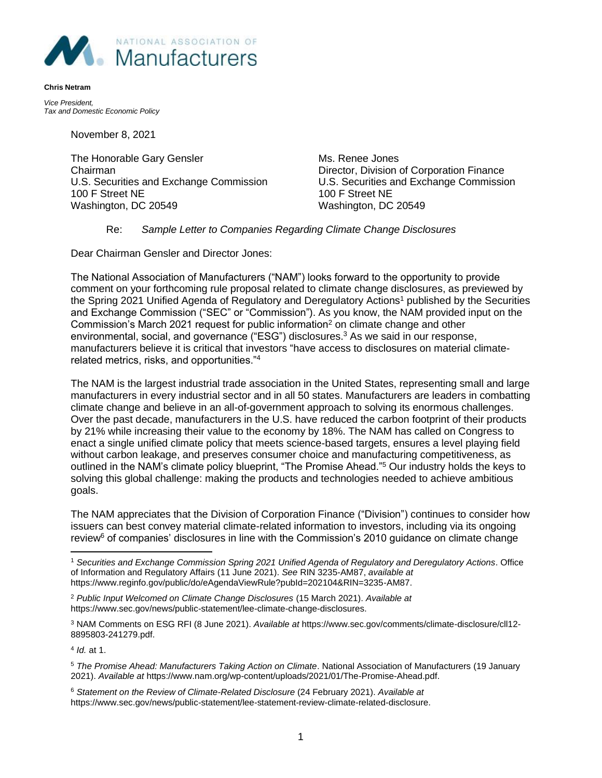

*Vice President, Tax and Domestic Economic Policy* 

**Chris Netram**

November 8, 2021

The Honorable Gary Gensler Mus. Renee Jones Chairman Director, Division of Corporation Finance U.S. Securities and Exchange Commission U.S. Securities and Exchange Commission 100 F Street NE 100 F Street NE Washington, DC 20549 Washington, DC 20549

## Re: *Sample Letter to Companies Regarding Climate Change Disclosures*

Dear Chairman Gensler and Director Jones:

The National Association of Manufacturers ("NAM") looks forward to the opportunity to provide comment on your forthcoming rule proposal related to climate change disclosures, as previewed by the Spring 2021 Unified Agenda of Regulatory and Deregulatory Actions<sup>1</sup> published by the Securities and Exchange Commission ("SEC" or "Commission"). As you know, the NAM provided input on the Commission's March 2021 request for public information<sup>2</sup> on climate change and other environmental, social, and governance ("ESG") disclosures.<sup>3</sup> As we said in our response, manufacturers believe it is critical that investors "have access to disclosures on material climaterelated metrics, risks, and opportunities."<sup>4</sup>

The NAM is the largest industrial trade association in the United States, representing small and large manufacturers in every industrial sector and in all 50 states. Manufacturers are leaders in combatting climate change and believe in an all-of-government approach to solving its enormous challenges. Over the past decade, manufacturers in the U.S. have reduced the carbon footprint of their products by 21% while increasing their value to the economy by 18%. The NAM has called on Congress to enact a single unified climate policy that meets science-based targets, ensures a level playing field without carbon leakage, and preserves consumer choice and manufacturing competitiveness, as outlined in the NAM's climate policy blueprint, "The Promise Ahead."<sup>5</sup> Our industry holds the keys to solving this global challenge: making the products and technologies needed to achieve ambitious goals.

The NAM appreciates that the Division of Corporation Finance ("Division") continues to consider how issuers can best convey material climate-related information to investors, including via its ongoing review<sup>6</sup> of companies' disclosures in line with the Commission's 2010 guidance on climate change

<sup>2</sup> *Public Input Welcomed on Climate Change Disclosures* (15 March 2021). *Available at* https://www.sec.gov/news/public-statement/lee-climate-change-disclosures.

<sup>3</sup> NAM Comments on ESG RFI (8 June 2021). *Available at* https://www.sec.gov/comments/climate-disclosure/cll12- 8895803-241279.pdf.

4 *Id.* at 1.

<sup>5</sup> *The Promise Ahead: Manufacturers Taking Action on Climate*. National Association of Manufacturers (19 January 2021). *Available at* https://www.nam.org/wp-content/uploads/2021/01/The-Promise-Ahead.pdf.

<sup>6</sup> *Statement on the Review of Climate-Related Disclosure* (24 February 2021). *Available at* https://www.sec.gov/news/public-statement/lee-statement-review-climate-related-disclosure.

<sup>1</sup> *Securities and Exchange Commission Spring 2021 Unified Agenda of Regulatory and Deregulatory Actions*. Office of Information and Regulatory Affairs (11 June 2021). *See* RIN 3235-AM87, *available at* https://www.reginfo.gov/public/do/eAgendaViewRule?pubId=202104&RIN=3235-AM87.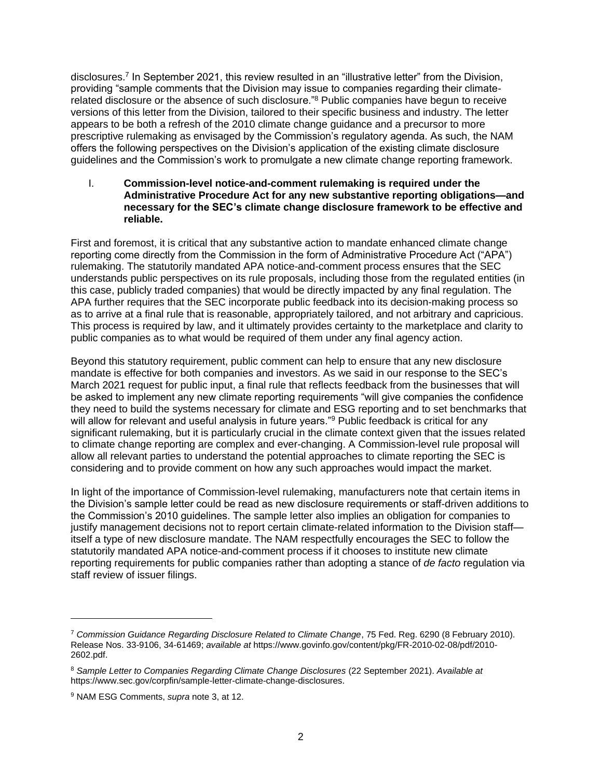disclosures.<sup>7</sup> In September 2021, this review resulted in an "illustrative letter" from the Division, providing "sample comments that the Division may issue to companies regarding their climaterelated disclosure or the absence of such disclosure.<sup>"8</sup> Public companies have begun to receive versions of this letter from the Division, tailored to their specific business and industry. The letter appears to be both a refresh of the 2010 climate change guidance and a precursor to more prescriptive rulemaking as envisaged by the Commission's regulatory agenda. As such, the NAM offers the following perspectives on the Division's application of the existing climate disclosure guidelines and the Commission's work to promulgate a new climate change reporting framework.

I. **Commission-level notice-and-comment rulemaking is required under the Administrative Procedure Act for any new substantive reporting obligations—and necessary for the SEC's climate change disclosure framework to be effective and reliable.**

First and foremost, it is critical that any substantive action to mandate enhanced climate change reporting come directly from the Commission in the form of Administrative Procedure Act ("APA") rulemaking. The statutorily mandated APA notice-and-comment process ensures that the SEC understands public perspectives on its rule proposals, including those from the regulated entities (in this case, publicly traded companies) that would be directly impacted by any final regulation. The APA further requires that the SEC incorporate public feedback into its decision-making process so as to arrive at a final rule that is reasonable, appropriately tailored, and not arbitrary and capricious. This process is required by law, and it ultimately provides certainty to the marketplace and clarity to public companies as to what would be required of them under any final agency action.

Beyond this statutory requirement, public comment can help to ensure that any new disclosure mandate is effective for both companies and investors. As we said in our response to the SEC's March 2021 request for public input, a final rule that reflects feedback from the businesses that will be asked to implement any new climate reporting requirements "will give companies the confidence they need to build the systems necessary for climate and ESG reporting and to set benchmarks that will allow for relevant and useful analysis in future years."<sup>9</sup> Public feedback is critical for any significant rulemaking, but it is particularly crucial in the climate context given that the issues related to climate change reporting are complex and ever-changing. A Commission-level rule proposal will allow all relevant parties to understand the potential approaches to climate reporting the SEC is considering and to provide comment on how any such approaches would impact the market.

In light of the importance of Commission-level rulemaking, manufacturers note that certain items in the Division's sample letter could be read as new disclosure requirements or staff-driven additions to the Commission's 2010 guidelines. The sample letter also implies an obligation for companies to justify management decisions not to report certain climate-related information to the Division staff itself a type of new disclosure mandate. The NAM respectfully encourages the SEC to follow the statutorily mandated APA notice-and-comment process if it chooses to institute new climate reporting requirements for public companies rather than adopting a stance of *de facto* regulation via staff review of issuer filings.

<sup>7</sup> *Commission Guidance Regarding Disclosure Related to Climate Change*, 75 Fed. Reg. 6290 (8 February 2010). Release Nos. 33-9106, 34-61469; *available at* https://www.govinfo.gov/content/pkg/FR-2010-02-08/pdf/2010- 2602.pdf.

<sup>8</sup> *Sample Letter to Companies Regarding Climate Change Disclosures* (22 September 2021). *Available at* https://www.sec.gov/corpfin/sample-letter-climate-change-disclosures.

<sup>9</sup> NAM ESG Comments, *supra* note 3, at 12.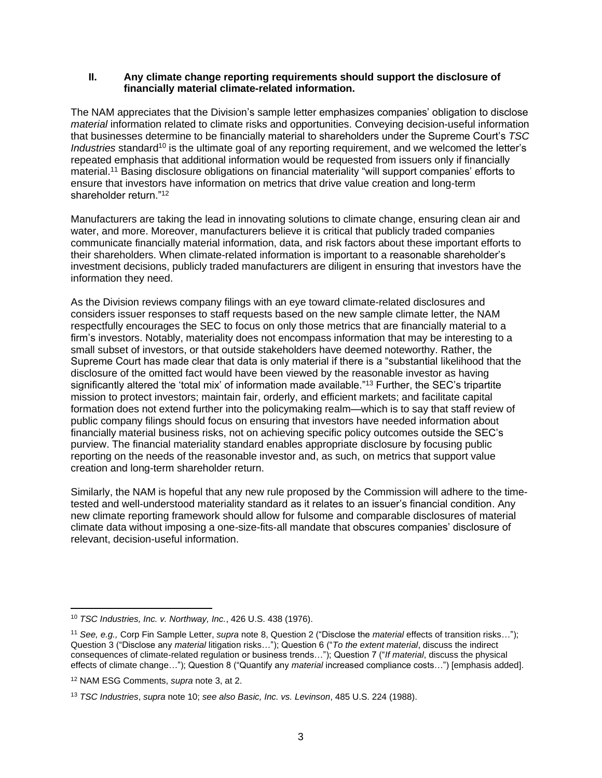## **II. Any climate change reporting requirements should support the disclosure of financially material climate-related information.**

The NAM appreciates that the Division's sample letter emphasizes companies' obligation to disclose *material* information related to climate risks and opportunities. Conveying decision-useful information that businesses determine to be financially material to shareholders under the Supreme Court's *TSC Industries* standard<sup>10</sup> is the ultimate goal of any reporting requirement, and we welcomed the letter's repeated emphasis that additional information would be requested from issuers only if financially material.<sup>11</sup> Basing disclosure obligations on financial materiality "will support companies' efforts to ensure that investors have information on metrics that drive value creation and long-term shareholder return."<sup>12</sup>

Manufacturers are taking the lead in innovating solutions to climate change, ensuring clean air and water, and more. Moreover, manufacturers believe it is critical that publicly traded companies communicate financially material information, data, and risk factors about these important efforts to their shareholders. When climate-related information is important to a reasonable shareholder's investment decisions, publicly traded manufacturers are diligent in ensuring that investors have the information they need.

As the Division reviews company filings with an eye toward climate-related disclosures and considers issuer responses to staff requests based on the new sample climate letter, the NAM respectfully encourages the SEC to focus on only those metrics that are financially material to a firm's investors. Notably, materiality does not encompass information that may be interesting to a small subset of investors, or that outside stakeholders have deemed noteworthy. Rather, the Supreme Court has made clear that data is only material if there is a "substantial likelihood that the disclosure of the omitted fact would have been viewed by the reasonable investor as having significantly altered the 'total mix' of information made available."<sup>13</sup> Further, the SEC's tripartite mission to protect investors; maintain fair, orderly, and efficient markets; and facilitate capital formation does not extend further into the policymaking realm—which is to say that staff review of public company filings should focus on ensuring that investors have needed information about financially material business risks, not on achieving specific policy outcomes outside the SEC's purview. The financial materiality standard enables appropriate disclosure by focusing public reporting on the needs of the reasonable investor and, as such, on metrics that support value creation and long-term shareholder return.

Similarly, the NAM is hopeful that any new rule proposed by the Commission will adhere to the timetested and well-understood materiality standard as it relates to an issuer's financial condition. Any new climate reporting framework should allow for fulsome and comparable disclosures of material climate data without imposing a one-size-fits-all mandate that obscures companies' disclosure of relevant, decision-useful information.

<sup>10</sup> *TSC Industries, Inc. v. Northway, Inc.*, 426 U.S. 438 (1976).

<sup>11</sup> *See, e.g.,* Corp Fin Sample Letter, *supra* note 8, Question 2 ("Disclose the *material* effects of transition risks…"); Question 3 ("Disclose any *material* litigation risks…"); Question 6 ("*To the extent material*, discuss the indirect consequences of climate-related regulation or business trends…"); Question 7 ("*If material*, discuss the physical effects of climate change…"); Question 8 ("Quantify any *material* increased compliance costs…") [emphasis added].

<sup>12</sup> NAM ESG Comments, *supra* note 3, at 2.

<sup>13</sup> *TSC Industries*, *supra* note 10; *see also Basic, Inc. vs. Levinson*, 485 U.S. 224 (1988).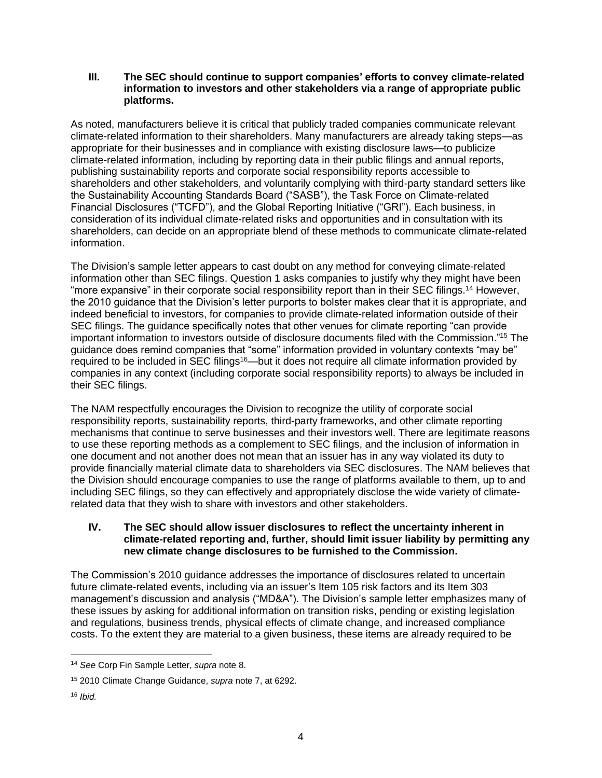**III. The SEC should continue to support companies' efforts to convey climate-related information to investors and other stakeholders via a range of appropriate public platforms.**

As noted, manufacturers believe it is critical that publicly traded companies communicate relevant climate-related information to their shareholders. Many manufacturers are already taking steps—as appropriate for their businesses and in compliance with existing disclosure laws—to publicize climate-related information, including by reporting data in their public filings and annual reports, publishing sustainability reports and corporate social responsibility reports accessible to shareholders and other stakeholders, and voluntarily complying with third-party standard setters like the Sustainability Accounting Standards Board ("SASB"), the Task Force on Climate-related Financial Disclosures ("TCFD"), and the Global Reporting Initiative ("GRI"). Each business, in consideration of its individual climate-related risks and opportunities and in consultation with its shareholders, can decide on an appropriate blend of these methods to communicate climate-related information.

The Division's sample letter appears to cast doubt on any method for conveying climate-related information other than SEC filings. Question 1 asks companies to justify why they might have been "more expansive" in their corporate social responsibility report than in their SEC filings.<sup>14</sup> However, the 2010 guidance that the Division's letter purports to bolster makes clear that it is appropriate, and indeed beneficial to investors, for companies to provide climate-related information outside of their SEC filings. The guidance specifically notes that other venues for climate reporting "can provide important information to investors outside of disclosure documents filed with the Commission."<sup>15</sup> The guidance does remind companies that "some" information provided in voluntary contexts "may be" required to be included in SEC filings<sup>16</sup>—but it does not require all climate information provided by companies in any context (including corporate social responsibility reports) to always be included in their SEC filings.

The NAM respectfully encourages the Division to recognize the utility of corporate social responsibility reports, sustainability reports, third-party frameworks, and other climate reporting mechanisms that continue to serve businesses and their investors well. There are legitimate reasons to use these reporting methods as a complement to SEC filings, and the inclusion of information in one document and not another does not mean that an issuer has in any way violated its duty to provide financially material climate data to shareholders via SEC disclosures. The NAM believes that the Division should encourage companies to use the range of platforms available to them, up to and including SEC filings, so they can effectively and appropriately disclose the wide variety of climaterelated data that they wish to share with investors and other stakeholders.

## **IV. The SEC should allow issuer disclosures to reflect the uncertainty inherent in climate-related reporting and, further, should limit issuer liability by permitting any new climate change disclosures to be furnished to the Commission.**

The Commission's 2010 guidance addresses the importance of disclosures related to uncertain future climate-related events, including via an issuer's Item 105 risk factors and its Item 303 management's discussion and analysis ("MD&A"). The Division's sample letter emphasizes many of these issues by asking for additional information on transition risks, pending or existing legislation and regulations, business trends, physical effects of climate change, and increased compliance costs. To the extent they are material to a given business, these items are already required to be

<sup>14</sup> *See* Corp Fin Sample Letter, *supra* note 8.

<sup>15</sup> 2010 Climate Change Guidance, *supra* note 7, at 6292.

<sup>16</sup> *Ibid.*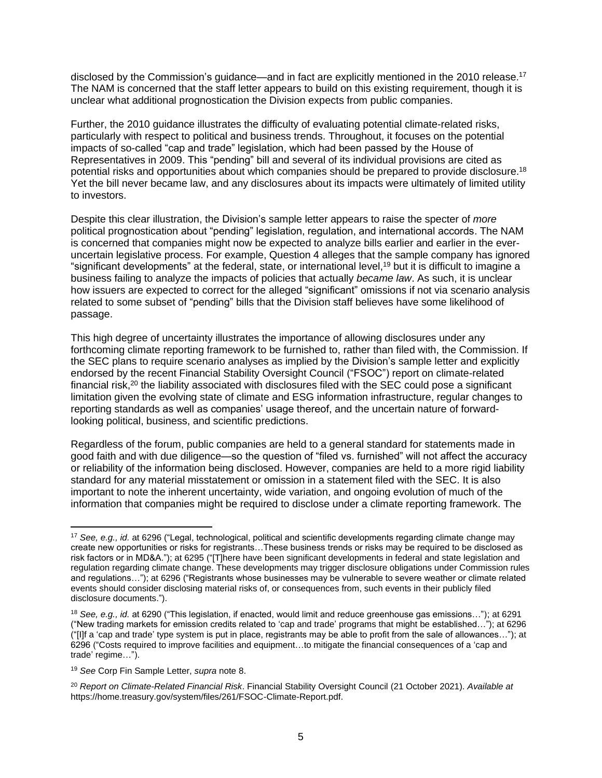disclosed by the Commission's guidance—and in fact are explicitly mentioned in the 2010 release.<sup>17</sup> The NAM is concerned that the staff letter appears to build on this existing requirement, though it is unclear what additional prognostication the Division expects from public companies.

Further, the 2010 guidance illustrates the difficulty of evaluating potential climate-related risks, particularly with respect to political and business trends. Throughout, it focuses on the potential impacts of so-called "cap and trade" legislation, which had been passed by the House of Representatives in 2009. This "pending" bill and several of its individual provisions are cited as potential risks and opportunities about which companies should be prepared to provide disclosure.<sup>18</sup> Yet the bill never became law, and any disclosures about its impacts were ultimately of limited utility to investors.

Despite this clear illustration, the Division's sample letter appears to raise the specter of *more* political prognostication about "pending" legislation, regulation, and international accords. The NAM is concerned that companies might now be expected to analyze bills earlier and earlier in the everuncertain legislative process. For example, Question 4 alleges that the sample company has ignored "significant developments" at the federal, state, or international level,<sup>19</sup> but it is difficult to imagine a business failing to analyze the impacts of policies that actually *became law*. As such, it is unclear how issuers are expected to correct for the alleged "significant" omissions if not via scenario analysis related to some subset of "pending" bills that the Division staff believes have some likelihood of passage.

This high degree of uncertainty illustrates the importance of allowing disclosures under any forthcoming climate reporting framework to be furnished to, rather than filed with, the Commission. If the SEC plans to require scenario analyses as implied by the Division's sample letter and explicitly endorsed by the recent Financial Stability Oversight Council ("FSOC") report on climate-related financial risk,<sup>20</sup> the liability associated with disclosures filed with the SEC could pose a significant limitation given the evolving state of climate and ESG information infrastructure, regular changes to reporting standards as well as companies' usage thereof, and the uncertain nature of forwardlooking political, business, and scientific predictions.

Regardless of the forum, public companies are held to a general standard for statements made in good faith and with due diligence—so the question of "filed vs. furnished" will not affect the accuracy or reliability of the information being disclosed. However, companies are held to a more rigid liability standard for any material misstatement or omission in a statement filed with the SEC. It is also important to note the inherent uncertainty, wide variation, and ongoing evolution of much of the information that companies might be required to disclose under a climate reporting framework. The

<sup>17</sup> *See, e.g., id.* at 6296 ("Legal, technological, political and scientific developments regarding climate change may create new opportunities or risks for registrants…These business trends or risks may be required to be disclosed as risk factors or in MD&A."); at 6295 ("[T]here have been significant developments in federal and state legislation and regulation regarding climate change. These developments may trigger disclosure obligations under Commission rules and regulations…"); at 6296 ("Registrants whose businesses may be vulnerable to severe weather or climate related events should consider disclosing material risks of, or consequences from, such events in their publicly filed disclosure documents.").

<sup>18</sup> *See, e.g., id.* at 6290 ("This legislation, if enacted, would limit and reduce greenhouse gas emissions…"); at 6291 ("New trading markets for emission credits related to 'cap and trade' programs that might be established…"); at 6296 ("[I]f a 'cap and trade' type system is put in place, registrants may be able to profit from the sale of allowances…"); at 6296 ("Costs required to improve facilities and equipment…to mitigate the financial consequences of a 'cap and trade' regime…").

<sup>19</sup> *See* Corp Fin Sample Letter, *supra* note 8.

<sup>20</sup> *Report on Climate-Related Financial Risk*. Financial Stability Oversight Council (21 October 2021). *Available at* https://home.treasury.gov/system/files/261/FSOC-Climate-Report.pdf.